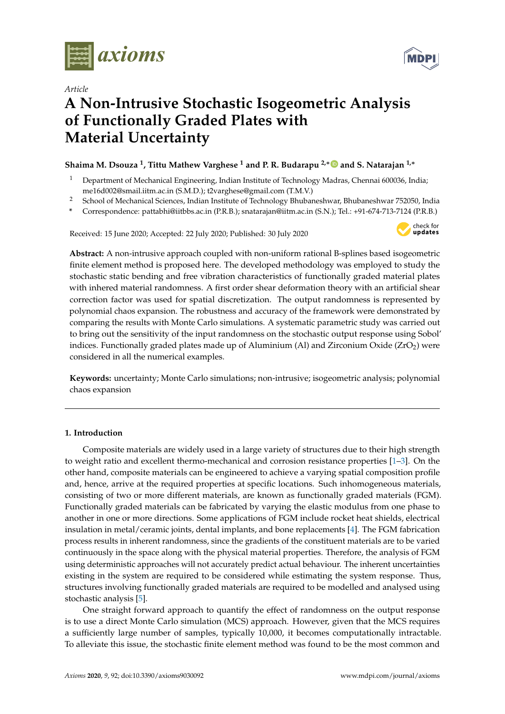

*Article*



# **A Non-Intrusive Stochastic Isogeometric Analysis of Functionally Graded Plates with Material Uncertainty**

# **Shaima M. Dsouza <sup>1</sup> , Tittu Mathew Varghese <sup>1</sup> and P. R. Budarapu 2,**<sup>∗</sup> **and S. Natarajan 1,**<sup>∗</sup>

- <sup>1</sup> Department of Mechanical Engineering, Indian Institute of Technology Madras, Chennai 600036, India; me16d002@smail.iitm.ac.in (S.M.D.); t2varghese@gmail.com (T.M.V.)
- <sup>2</sup> School of Mechanical Sciences, Indian Institute of Technology Bhubaneshwar, Bhubaneshwar 752050, India
- **\*** Correspondence: pattabhi@iitbbs.ac.in (P.R.B.); snatarajan@iitm.ac.in (S.N.); Tel.: +91-674-713-7124 (P.R.B.)

Received: 15 June 2020; Accepted: 22 July 2020; Published: 30 July 2020



**Abstract:** A non-intrusive approach coupled with non-uniform rational B-splines based isogeometric finite element method is proposed here. The developed methodology was employed to study the stochastic static bending and free vibration characteristics of functionally graded material plates with inhered material randomness. A first order shear deformation theory with an artificial shear correction factor was used for spatial discretization. The output randomness is represented by polynomial chaos expansion. The robustness and accuracy of the framework were demonstrated by comparing the results with Monte Carlo simulations. A systematic parametric study was carried out to bring out the sensitivity of the input randomness on the stochastic output response using Sobol' indices. Functionally graded plates made up of Aluminium (Al) and Zirconium Oxide ( $ZrO<sub>2</sub>$ ) were considered in all the numerical examples.

**Keywords:** uncertainty; Monte Carlo simulations; non-intrusive; isogeometric analysis; polynomial chaos expansion

# **1. Introduction**

Composite materials are widely used in a large variety of structures due to their high strength to weight ratio and excellent thermo-mechanical and corrosion resistance properties [1–3]. On the other hand, composite materials can be engineered to achieve a varying spatial composition profile and, hence, arrive at the required properties at specific locations. Such inhomogeneous materials, consisting of two or more different materials, are known as functionally graded materials (FGM). Functionally graded materials can be fabricated by varying the elastic modulus from one phase to another in one or more directions. Some applications of FGM include rocket heat shields, electrical insulation in metal/ceramic joints, dental implants, and bone replacements [4]. The FGM fabrication process results in inherent randomness, since the gradients of the constituent materials are to be varied continuously in the space along with the physical material properties. Therefore, the analysis of FGM using deterministic approaches will not accurately predict actual behaviour. The inherent uncertainties existing in the system are required to be considered while estimating the system response. Thus, structures involving functionally graded materials are required to be modelled and analysed using stochastic analysis [5].

One straight forward approach to quantify the effect of randomness on the output response is to use a direct Monte Carlo simulation (MCS) approach. However, given that the MCS requires a sufficiently large number of samples, typically 10,000, it becomes computationally intractable. To alleviate this issue, the stochastic finite element method was found to be the most common and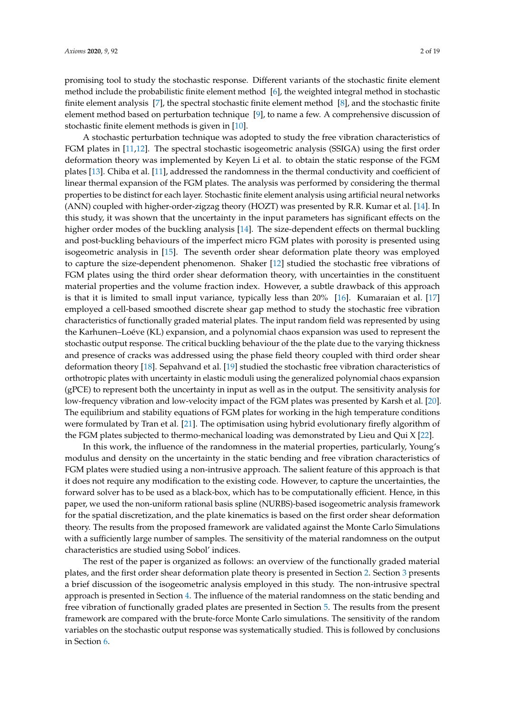promising tool to study the stochastic response. Different variants of the stochastic finite element method include the probabilistic finite element method [6], the weighted integral method in stochastic finite element analysis [7], the spectral stochastic finite element method [8], and the stochastic finite element method based on perturbation technique [9], to name a few. A comprehensive discussion of stochastic finite element methods is given in [10].

A stochastic perturbation technique was adopted to study the free vibration characteristics of FGM plates in [11,12]. The spectral stochastic isogeometric analysis (SSIGA) using the first order deformation theory was implemented by Keyen Li et al. to obtain the static response of the FGM plates [13]. Chiba et al. [11], addressed the randomness in the thermal conductivity and coefficient of linear thermal expansion of the FGM plates. The analysis was performed by considering the thermal properties to be distinct for each layer. Stochastic finite element analysis using artificial neural networks (ANN) coupled with higher-order-zigzag theory (HOZT) was presented by R.R. Kumar et al. [14]. In this study, it was shown that the uncertainty in the input parameters has significant effects on the higher order modes of the buckling analysis [14]. The size-dependent effects on thermal buckling and post-buckling behaviours of the imperfect micro FGM plates with porosity is presented using isogeometric analysis in [15]. The seventh order shear deformation plate theory was employed to capture the size-dependent phenomenon. Shaker [12] studied the stochastic free vibrations of FGM plates using the third order shear deformation theory, with uncertainties in the constituent material properties and the volume fraction index. However, a subtle drawback of this approach is that it is limited to small input variance, typically less than 20% [16]. Kumaraian et al. [17] employed a cell-based smoothed discrete shear gap method to study the stochastic free vibration characteristics of functionally graded material plates. The input random field was represented by using the Karhunen–Loéve (KL) expansion, and a polynomial chaos expansion was used to represent the stochastic output response. The critical buckling behaviour of the the plate due to the varying thickness and presence of cracks was addressed using the phase field theory coupled with third order shear deformation theory [18]. Sepahvand et al. [19] studied the stochastic free vibration characteristics of orthotropic plates with uncertainty in elastic moduli using the generalized polynomial chaos expansion (gPCE) to represent both the uncertainty in input as well as in the output. The sensitivity analysis for low-frequency vibration and low-velocity impact of the FGM plates was presented by Karsh et al. [20]. The equilibrium and stability equations of FGM plates for working in the high temperature conditions were formulated by Tran et al. [21]. The optimisation using hybrid evolutionary firefly algorithm of the FGM plates subjected to thermo-mechanical loading was demonstrated by Lieu and Qui X [22].

In this work, the influence of the randomness in the material properties, particularly, Young's modulus and density on the uncertainty in the static bending and free vibration characteristics of FGM plates were studied using a non-intrusive approach. The salient feature of this approach is that it does not require any modification to the existing code. However, to capture the uncertainties, the forward solver has to be used as a black-box, which has to be computationally efficient. Hence, in this paper, we used the non-uniform rational basis spline (NURBS)-based isogeometric analysis framework for the spatial discretization, and the plate kinematics is based on the first order shear deformation theory. The results from the proposed framework are validated against the Monte Carlo Simulations with a sufficiently large number of samples. The sensitivity of the material randomness on the output characteristics are studied using Sobol' indices.

The rest of the paper is organized as follows: an overview of the functionally graded material plates, and the first order shear deformation plate theory is presented in Section 2. Section 3 presents a brief discussion of the isogeometric analysis employed in this study. The non-intrusive spectral approach is presented in Section 4. The influence of the material randomness on the static bending and free vibration of functionally graded plates are presented in Section 5. The results from the present framework are compared with the brute-force Monte Carlo simulations. The sensitivity of the random variables on the stochastic output response was systematically studied. This is followed by conclusions in Section 6.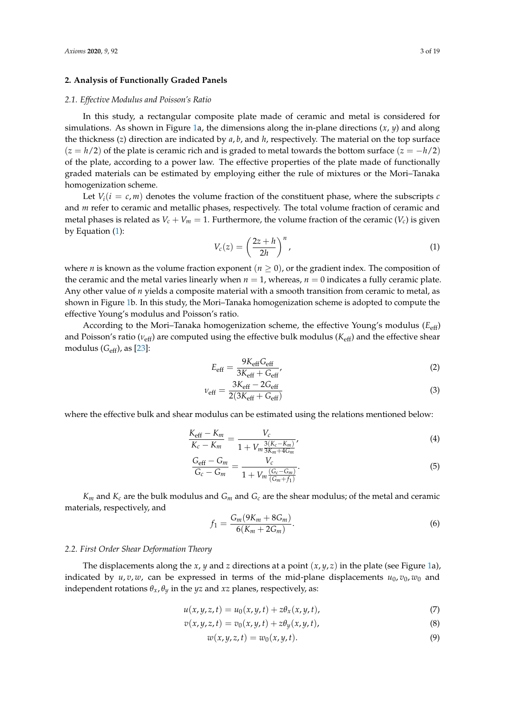# **2. Analysis of Functionally Graded Panels**

#### *2.1. Effective Modulus and Poisson's Ratio*

In this study, a rectangular composite plate made of ceramic and metal is considered for simulations. As shown in Figure 1a, the dimensions along the in-plane directions (*x*, *y*) and along the thickness (*z*) direction are indicated by *a*, *b*, and *h*, respectively. The material on the top surface (*z* = *h*/2) of the plate is ceramic rich and is graded to metal towards the bottom surface (*z* = −*h*/2) of the plate, according to a power law. The effective properties of the plate made of functionally graded materials can be estimated by employing either the rule of mixtures or the Mori–Tanaka homogenization scheme.

Let  $V_i(i = c, m)$  denotes the volume fraction of the constituent phase, where the subscripts *c* and *m* refer to ceramic and metallic phases, respectively. The total volume fraction of ceramic and metal phases is related as  $V_c + V_m = 1$ . Furthermore, the volume fraction of the ceramic  $(V_c)$  is given by Equation (1):

$$
V_c(z) = \left(\frac{2z + h}{2h}\right)^n,\tag{1}
$$

where *n* is known as the volume fraction exponent  $(n \geq 0)$ , or the gradient index. The composition of the ceramic and the metal varies linearly when  $n = 1$ , whereas,  $n = 0$  indicates a fully ceramic plate. Any other value of *n* yields a composite material with a smooth transition from ceramic to metal, as shown in Figure 1b. In this study, the Mori–Tanaka homogenization scheme is adopted to compute the effective Young's modulus and Poisson's ratio.

According to the Mori–Tanaka homogenization scheme, the effective Young's modulus (*E*eff) and Poisson's ratio ( $v_{\text{eff}}$ ) are computed using the effective bulk modulus ( $K_{\text{eff}}$ ) and the effective shear modulus (*G*eff), as [23]:

$$
E_{\rm eff} = \frac{9K_{\rm eff}G_{\rm eff}}{3K_{\rm eff} + G_{\rm eff}},\tag{2}
$$

$$
\nu_{\rm eff} = \frac{3K_{\rm eff} - 2G_{\rm eff}}{2(3K_{\rm eff} + G_{\rm eff})}
$$
(3)

where the effective bulk and shear modulus can be estimated using the relations mentioned below:

$$
\frac{K_{\text{eff}} - K_m}{K_c - K_m} = \frac{V_c}{1 + V_m \frac{3(K_c - K_m)}{3K_m + 4G_m}},\tag{4}
$$

$$
\frac{G_{\text{eff}} - G_m}{G_c - G_m} = \frac{V_c}{1 + V_m \frac{(G_c - G_m)}{(G_m + f_1)}}.
$$
\n(5)

*Km* and *Kc* are the bulk modulus and *Gm* and *Gc* are the shear modulus; of the metal and ceramic materials, respectively, and

$$
f_1 = \frac{G_m(9K_m + 8G_m)}{6(K_m + 2G_m)}.
$$
\n(6)

#### *2.2. First Order Shear Deformation Theory*

The displacements along the *x*, *y* and *z* directions at a point (*x*, *y*, *z*) in the plate (see Figure 1a), indicated by  $u, v, w$ , can be expressed in terms of the mid-plane displacements  $u_0, v_0, w_0$  and independent rotations  $\theta_x$ ,  $\theta_y$  in the *yz* and *xz* planes, respectively, as:

$$
u(x, y, z, t) = u_0(x, y, t) + z\theta_x(x, y, t),
$$
\n(7)

$$
v(x, y, z, t) = v_0(x, y, t) + z\theta_y(x, y, t),
$$
\n(8)

$$
w(x, y, z, t) = w_0(x, y, t). \tag{9}
$$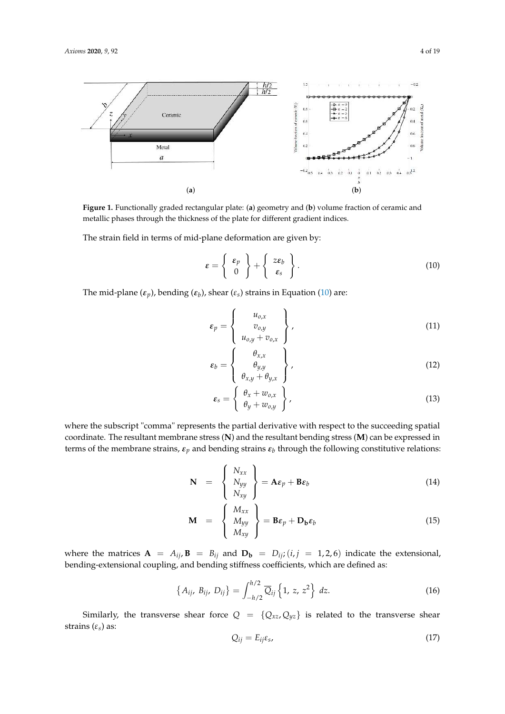

**Figure 1.** Functionally graded rectangular plate: (**a**) geometry and (**b**) volume fraction of ceramic and metallic phases through the thickness of the plate for different gradient indices.

The strain field in terms of mid-plane deformation are given by:

$$
\varepsilon = \left\{ \begin{array}{c} \varepsilon_p \\ 0 \end{array} \right\} + \left\{ \begin{array}{c} z\varepsilon_b \\ \varepsilon_s \end{array} \right\}.
$$
 (10)

The mid-plane (*εp*), bending (*ε<sup>b</sup>* ), shear (*εs*) strains in Equation (10) are:

$$
\varepsilon_p = \left\{ \begin{array}{c} u_{o,x} \\ v_{o,y} \\ u_{o,y} + v_{o,x} \end{array} \right\},
$$
(11)

$$
\varepsilon_b = \begin{Bmatrix} \theta_{x,x} \\ \theta_{y,y} \\ \theta_{x,y} + \theta_{y,x} \end{Bmatrix},
$$
\n(12)

$$
\varepsilon_{s} = \left\{ \begin{array}{c} \theta_{x} + w_{o,x} \\ \theta_{y} + w_{o,y} \end{array} \right\},
$$
\n(13)

where the subscript "comma" represents the partial derivative with respect to the succeeding spatial coordinate. The resultant membrane stress (**N**) and the resultant bending stress (**M**) can be expressed in terms of the membrane strains,  $\varepsilon_p$  and bending strains  $\varepsilon_b$  through the following constitutive relations:

$$
\mathbf{N} = \begin{Bmatrix} N_{xx} \\ N_{yy} \\ N_{xy} \end{Bmatrix} = \mathbf{A}\boldsymbol{\varepsilon}_p + \mathbf{B}\boldsymbol{\varepsilon}_b \qquad (14)
$$

$$
\mathbf{M} = \begin{Bmatrix} M_{xx} \\ M_{yy} \\ M_{xy} \end{Bmatrix} = \mathbf{B}\boldsymbol{\varepsilon}_p + \mathbf{D_b}\boldsymbol{\varepsilon}_b \qquad (15)
$$

where the matrices  $\mathbf{A} = A_{ij}$ ,  $\mathbf{B} = B_{ij}$  and  $\mathbf{D_b} = D_{ij}$ ; (*i*, *j* = 1, 2, 6) indicate the extensional, bending-extensional coupling, and bending stiffness coefficients, which are defined as:

$$
\left\{ A_{ij}, \ B_{ij}, \ D_{ij} \right\} = \int_{-h/2}^{h/2} \overline{Q}_{ij} \left\{ 1, z, z^2 \right\} \, dz. \tag{16}
$$

Similarly, the transverse shear force  $Q = \{Q_{xz}, Q_{yz}\}\$ is related to the transverse shear strains (*εs*) as:

$$
Q_{ij} = E_{ij}\varepsilon_s,\tag{17}
$$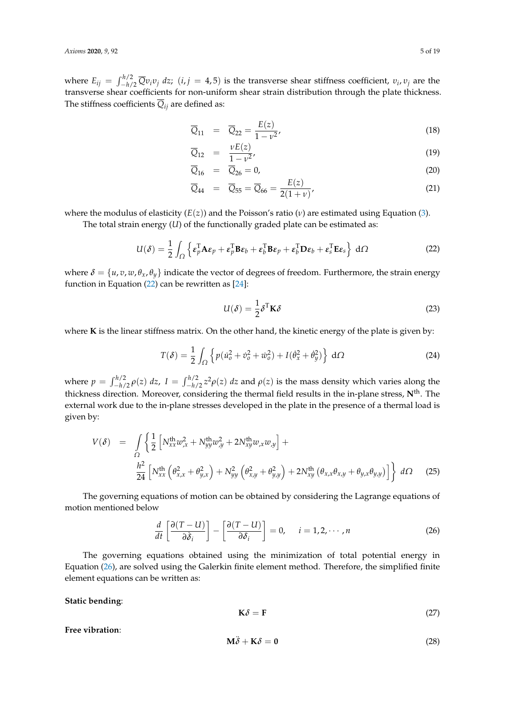where  $E_{ij} = \int_{-h/2}^{h/2} \overline{Q} v_i v_j dz$ ;  $(i, j = 4, 5)$  is the transverse shear stiffness coefficient,  $v_i, v_j$  are the transverse shear coefficients for non-uniform shear strain distribution through the plate thickness. The stiffness coefficients  $Q_{ij}$  are defined as:

$$
\overline{Q}_{11} = \overline{Q}_{22} = \frac{E(z)}{1 - v^2},
$$
\n(18)

$$
\overline{Q}_{12} = \frac{\nu E(z)}{1 - \nu^2},\tag{19}
$$

$$
\overline{Q}_{16} = \overline{Q}_{26} = 0,\t\t(20)
$$

$$
\overline{Q}_{44} = \overline{Q}_{55} = \overline{Q}_{66} = \frac{E(z)}{2(1+\nu)},
$$
\n(21)

where the modulus of elasticity (*E*(*z*)) and the Poisson's ratio (*ν*) are estimated using Equation (3).

The total strain energy (*U*) of the functionally graded plate can be estimated as:

$$
U(\delta) = \frac{1}{2} \int_{\Omega} \left\{ \epsilon_p^{\mathsf{T}} \mathbf{A} \epsilon_p + \epsilon_p^{\mathsf{T}} \mathbf{B} \epsilon_b + \epsilon_b^{\mathsf{T}} \mathbf{B} \epsilon_p + \epsilon_b^{\mathsf{T}} \mathbf{D} \epsilon_b + \epsilon_s^{\mathsf{T}} \mathbf{E} \epsilon_s \right\} d\Omega \tag{22}
$$

where  $\delta = \{u, v, w, \theta_x, \theta_y\}$  indicate the vector of degrees of freedom. Furthermore, the strain energy function in Equation (22) can be rewritten as [24]:

$$
U(\delta) = \frac{1}{2} \delta^{T} \mathbf{K} \delta
$$
 (23)

where **K** is the linear stiffness matrix. On the other hand, the kinetic energy of the plate is given by:

$$
T(\delta) = \frac{1}{2} \int_{\Omega} \left\{ p(\dot{u}_o^2 + \dot{v}_o^2 + \dot{w}_o^2) + I(\dot{\theta}_x^2 + \dot{\theta}_y^2) \right\} d\Omega \tag{24}
$$

where  $p = \int_{-h/2}^{h/2} \rho(z) dz$ ,  $I = \int_{-h/2}^{h/2} z^2 \rho(z) dz$  and  $\rho(z)$  is the mass density which varies along the thickness direction. Moreover, considering the thermal field results in the in-plane stress, **N**th. The external work due to the in-plane stresses developed in the plate in the presence of a thermal load is given by:

$$
V(\delta) = \int_{\Omega} \left\{ \frac{1}{2} \left[ N_{xx}^{\text{th}} w_{,x}^2 + N_{yy}^{\text{th}} w_{,y}^2 + 2N_{xy}^{\text{th}} w_{,x} w_{,y} \right] + \frac{h^2}{24} \left[ N_{xx}^{\text{th}} \left( \theta_{x,x}^2 + \theta_{y,x}^2 \right) + N_{yy}^2 \left( \theta_{x,y}^2 + \theta_{y,y}^2 \right) + 2N_{xy}^{\text{th}} \left( \theta_{x,x} \theta_{x,y} + \theta_{y,x} \theta_{y,y} \right) \right] \right\} d\Omega \quad (25)
$$

The governing equations of motion can be obtained by considering the Lagrange equations of motion mentioned below

$$
\frac{d}{dt}\left[\frac{\partial(T-U)}{\partial \dot{\delta}_i}\right] - \left[\frac{\partial(T-U)}{\partial \delta_i}\right] = 0, \quad i = 1, 2, \cdots, n
$$
\n(26)

The governing equations obtained using the minimization of total potential energy in Equation (26), are solved using the Galerkin finite element method. Therefore, the simplified finite element equations can be written as:

**Static bending**:

$$
\mathbf{K}\delta = \mathbf{F} \tag{27}
$$

**Free vibration**:

$$
M\ddot{\delta} + K\delta = 0 \tag{28}
$$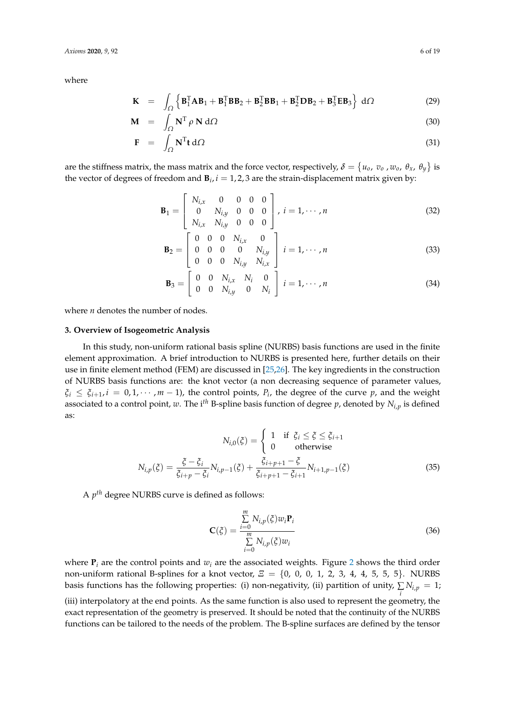where

$$
\mathbf{K} = \int_{\Omega} \left\{ \mathbf{B}_{1}^{T} \mathbf{A} \mathbf{B}_{1} + \mathbf{B}_{1}^{T} \mathbf{B} \mathbf{B}_{2} + \mathbf{B}_{2}^{T} \mathbf{B} \mathbf{B}_{1} + \mathbf{B}_{2}^{T} \mathbf{D} \mathbf{B}_{2} + \mathbf{B}_{3}^{T} \mathbf{E} \mathbf{B}_{3} \right\} d\Omega \tag{29}
$$

$$
\mathbf{M} = \int_{\Omega} \mathbf{N}^{\mathrm{T}} \rho \, \mathbf{N} \, \mathrm{d}\Omega \tag{30}
$$

$$
\mathbf{F} = \int_{\Omega} \mathbf{N}^{\mathrm{T}} \mathbf{t} \, d\Omega \tag{31}
$$

are the stiffness matrix, the mass matrix and the force vector, respectively,  $\delta = \{u_o, v_o$  ,  $w_o$  ,  $\theta_x$ ,  $\theta_y\}$  is the vector of degrees of freedom and  $\mathbf{B}_i$ ,  $i = 1, 2, 3$  are the strain-displacement matrix given by:

$$
\mathbf{B}_{1} = \begin{bmatrix} N_{i,x} & 0 & 0 & 0 & 0 \\ 0 & N_{i,y} & 0 & 0 & 0 \\ N_{i,x} & N_{i,y} & 0 & 0 & 0 \end{bmatrix}, i = 1, \cdots, n
$$
 (32)

$$
\mathbf{B}_2 = \begin{bmatrix} 0 & 0 & 0 & N_{i,x} & 0 \\ 0 & 0 & 0 & 0 & N_{i,y} \\ 0 & 0 & 0 & N_{i,y} & N_{i,x} \end{bmatrix} i = 1, \cdots, n
$$
 (33)

$$
\mathbf{B}_3 = \left[ \begin{array}{cccc} 0 & 0 & N_{i,x} & N_i & 0 \\ 0 & 0 & N_{i,y} & 0 & N_i \end{array} \right] i = 1, \cdots, n \tag{34}
$$

where *n* denotes the number of nodes.

# **3. Overview of Isogeometric Analysis**

In this study, non-uniform rational basis spline (NURBS) basis functions are used in the finite element approximation. A brief introduction to NURBS is presented here, further details on their use in finite element method (FEM) are discussed in [25,26]. The key ingredients in the construction of NURBS basis functions are: the knot vector (a non decreasing sequence of parameter values,  $\xi_i \leq \xi_{i+1}$ ,  $i = 0, 1, \cdots, m-1$ ), the control points,  $P_i$ , the degree of the curve  $p$ , and the weight associated to a control point, *w*. The i*th* B-spline basis function of degree *p*, denoted by *Ni*,*<sup>p</sup>* is defined as:

$$
N_{i,0}(\xi) = \begin{cases} 1 & \text{if } \xi_i \le \xi \le \xi_{i+1} \\ 0 & \text{otherwise} \end{cases}
$$
\n
$$
N_{i,p}(\xi) = \frac{\xi - \xi_i}{\xi_{i+p} - \xi_i} N_{i,p-1}(\xi) + \frac{\xi_{i+p+1} - \xi}{\xi_{i+p+1} - \xi_{i+1}} N_{i+1,p-1}(\xi) \tag{35}
$$

A *p th* degree NURBS curve is defined as follows:

$$
\mathbf{C}(\xi) = \frac{\sum_{i=0}^{m} N_{i,p}(\xi) w_i \mathbf{P}_i}{\sum_{i=0}^{m} N_{i,p}(\xi) w_i}
$$
(36)

where  $P_i$  are the control points and  $w_i$  are the associated weights. Figure 2 shows the third order non-uniform rational B-splines for a knot vector, *Ξ* = {0, 0, 0, 1, 2, 3, 4, 4, 5, 5, 5}. NURBS basis functions has the following properties: (i) non-negativity, (ii) partition of unity,  $\sum N_{i,p} = 1$ ;

*i* (iii) interpolatory at the end points. As the same function is also used to represent the geometry, the exact representation of the geometry is preserved. It should be noted that the continuity of the NURBS functions can be tailored to the needs of the problem. The B-spline surfaces are defined by the tensor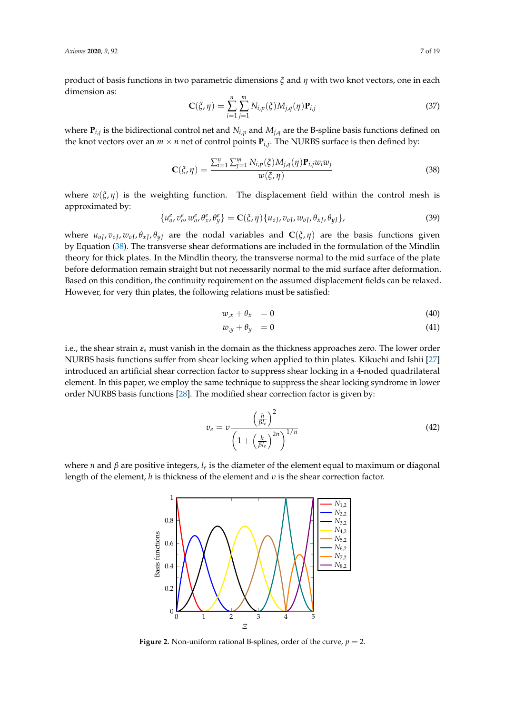product of basis functions in two parametric dimensions *ξ* and *η* with two knot vectors, one in each dimension as:

$$
\mathbf{C}(\xi, \eta) = \sum_{i=1}^{n} \sum_{j=1}^{m} N_{i,p}(\xi) M_{j,q}(\eta) \mathbf{P}_{i,j}
$$
(37)

where **P***i*,*<sup>j</sup>* is the bidirectional control net and *Ni*,*<sup>p</sup>* and *Mj*,*<sup>q</sup>* are the B-spline basis functions defined on the knot vectors over an  $m \times n$  net of control points  $P_{i,j}$ . The NURBS surface is then defined by:

$$
\mathbf{C}(\xi,\eta) = \frac{\sum_{i=1}^{n} \sum_{j=1}^{m} N_{i,p}(\xi) M_{j,q}(\eta) \mathbf{P}_{i,j} w_i w_j}{w(\xi,\eta)}
$$
(38)

where  $w(\xi, \eta)$  is the weighting function. The displacement field within the control mesh is approximated by:

$$
\{u_0^e, v_0^e, w_0^e, \theta_x^e, \theta_y^e\} = \mathbf{C}(\xi, \eta) \{u_{0J}, v_{0J}, w_{0J}, \theta_{xJ}, \theta_{yJ}\},\tag{39}
$$

where  $u_{oI}$ ,  $v_{oI}$ ,  $w_{oI}$ ,  $\theta_{xI}$ ,  $\theta_{yI}$  are the nodal variables and  $\mathbf{C}(\xi, \eta)$  are the basis functions given by Equation (38). The transverse shear deformations are included in the formulation of the Mindlin theory for thick plates. In the Mindlin theory, the transverse normal to the mid surface of the plate before deformation remain straight but not necessarily normal to the mid surface after deformation. Based on this condition, the continuity requirement on the assumed displacement fields can be relaxed. However, for very thin plates, the following relations must be satisfied:

$$
w_{,x} + \theta_{x} = 0 \tag{40}
$$

$$
w_{,y} + \theta_y = 0 \tag{41}
$$

i.e., the shear strain *ε<sup>s</sup>* must vanish in the domain as the thickness approaches zero. The lower order NURBS basis functions suffer from shear locking when applied to thin plates. Kikuchi and Ishii [27] introduced an artificial shear correction factor to suppress shear locking in a 4-noded quadrilateral element. In this paper, we employ the same technique to suppress the shear locking syndrome in lower order NURBS basis functions [28]. The modified shear correction factor is given by:

$$
v_e = v \frac{\left(\frac{h}{\beta l_e}\right)^2}{\left(1 + \left(\frac{h}{\beta l_e}\right)^{2n}\right)^{1/n}}
$$
(42)

where *n* and *β* are positive integers, *l<sup>e</sup>* is the diameter of the element equal to maximum or diagonal length of the element, *h* is thickness of the element and *υ* is the shear correction factor.



**Figure 2.** Non-uniform rational B-splines, order of the curve,  $p = 2$ .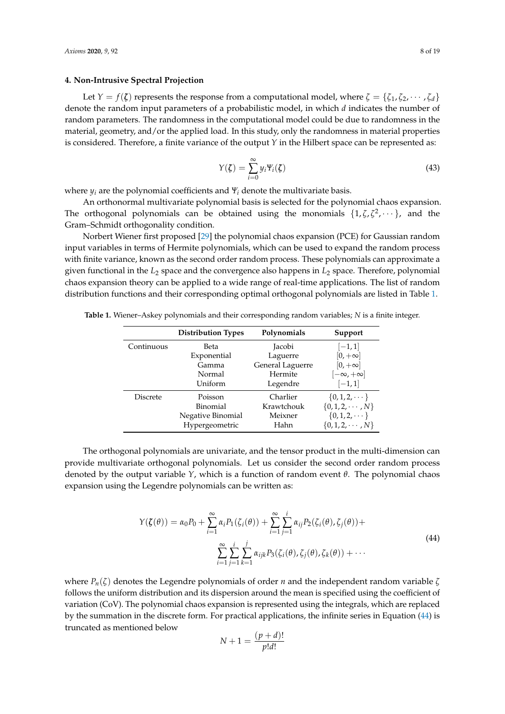# **4. Non-Intrusive Spectral Projection**

Let  $Y = f(\zeta)$  represents the response from a computational model, where  $\zeta = \{\zeta_1, \zeta_2, \dots, \zeta_d\}$ denote the random input parameters of a probabilistic model, in which *d* indicates the number of random parameters. The randomness in the computational model could be due to randomness in the material, geometry, and/or the applied load. In this study, only the randomness in material properties is considered. Therefore, a finite variance of the output *Y* in the Hilbert space can be represented as:

$$
Y(\zeta) = \sum_{i=0}^{\infty} y_i \Psi_i(\zeta)
$$
\n(43)

where  $y_i$  are the polynomial coefficients and  $\mathbf{Y}_i$  denote the multivariate basis.

An orthonormal multivariate polynomial basis is selected for the polynomial chaos expansion. The orthogonal polynomials can be obtained using the monomials  $\{1, \zeta, \zeta^2, \dots\}$ , and the Gram–Schmidt orthogonality condition.

Norbert Wiener first proposed [29] the polynomial chaos expansion (PCE) for Gaussian random input variables in terms of Hermite polynomials, which can be used to expand the random process with finite variance, known as the second order random process. These polynomials can approximate a given functional in the *L*<sup>2</sup> space and the convergence also happens in *L*<sup>2</sup> space. Therefore, polynomial chaos expansion theory can be applied to a wide range of real-time applications. The list of random distribution functions and their corresponding optimal orthogonal polynomials are listed in Table 1.

| <b>Distribution Types</b> | Polynomials      | Support                  |
|---------------------------|------------------|--------------------------|
| Beta                      | Jacobi           | $[-1,1]$                 |
| Exponential               | Laguerre         | $[0, +\infty]$           |
| Gamma                     | General Laguerre | $[0, +\infty]$           |
| Normal                    | Hermite          | $[-\infty, +\infty]$     |
| Uniform                   | Legendre         | $[-1, 1]$                |
| Poisson                   | Charlier         | $\{0, 1, 2, \dots\}$     |
| Binomial                  | Krawtchouk       | $\{0, 1, 2, \cdots, N\}$ |
| Negative Binomial         | Meixner          | $\{0, 1, 2, \dots\}$     |
| Hypergeometric            | Hahn             | $\{0, 1, 2, \cdots, N\}$ |
|                           |                  |                          |

**Table 1.** Wiener–Askey polynomials and their corresponding random variables; *N* is a finite integer.

The orthogonal polynomials are univariate, and the tensor product in the multi-dimension can provide multivariate orthogonal polynomials. Let us consider the second order random process denoted by the output variable *Y*, which is a function of random event *θ*. The polynomial chaos expansion using the Legendre polynomials can be written as:

$$
Y(\zeta(\theta)) = \alpha_0 P_0 + \sum_{i=1}^{\infty} \alpha_i P_1(\zeta_i(\theta)) + \sum_{i=1}^{\infty} \sum_{j=1}^{i} \alpha_{ij} P_2(\zeta_i(\theta), \zeta_j(\theta)) + \sum_{i=1}^{\infty} \sum_{j=1}^{i} \sum_{k=1}^{j} \alpha_{ijk} P_3(\zeta_i(\theta), \zeta_j(\theta), \zeta_k(\theta)) + \cdots
$$
\n(44)

where  $P_n(\zeta)$  denotes the Legendre polynomials of order *n* and the independent random variable  $\zeta$ follows the uniform distribution and its dispersion around the mean is specified using the coefficient of variation (CoV). The polynomial chaos expansion is represented using the integrals, which are replaced by the summation in the discrete form. For practical applications, the infinite series in Equation (44) is truncated as mentioned below

$$
N+1 = \frac{(p+d)!}{p!d!}
$$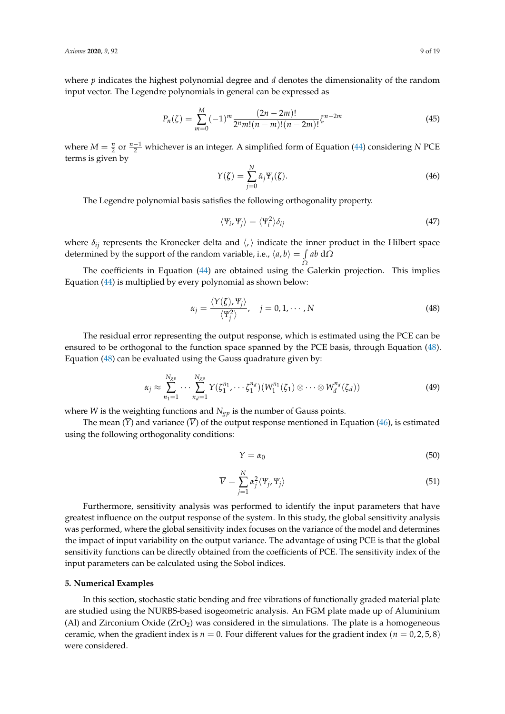where *p* indicates the highest polynomial degree and *d* denotes the dimensionality of the random input vector. The Legendre polynomials in general can be expressed as

$$
P_n(\zeta) = \sum_{m=0}^{M} (-1)^m \frac{(2n-2m)!}{2^n m! (n-m)!(n-2m)!} \zeta^{n-2m}
$$
\n(45)

where  $M = \frac{n}{2}$  or  $\frac{n-1}{2}$  whichever is an integer. A simplified form of Equation (44) considering *N* PCE terms is given by

$$
Y(\zeta) = \sum_{j=0}^{N} \hat{\alpha}_j \Psi_j(\zeta).
$$
 (46)

The Legendre polynomial basis satisfies the following orthogonality property.

$$
\langle \Psi_i, \Psi_j \rangle = \langle \Psi_i^2 \rangle \delta_{ij} \tag{47}
$$

where  $\delta_{ij}$  represents the Kronecker delta and  $\langle,\rangle$  indicate the inner product in the Hilbert space determined by the support of the random variable, i.e.,  $\langle a, b \rangle = \int ab \, d\Omega$ 

*Ω* The coefficients in Equation (44) are obtained using the Galerkin projection. This implies Equation (44) is multiplied by every polynomial as shown below:

$$
\alpha_j = \frac{\langle Y(\zeta), Y_j \rangle}{\langle Y_j^2 \rangle}, \quad j = 0, 1, \cdots, N
$$
\n(48)

The residual error representing the output response, which is estimated using the PCE can be ensured to be orthogonal to the function space spanned by the PCE basis, through Equation (48). Equation (48) can be evaluated using the Gauss quadrature given by:

$$
\alpha_j \approx \sum_{n_1=1}^{N_{SP}} \cdots \sum_{n_d=1}^{N_{SP}} Y(\zeta_1^{n_1}, \cdots \zeta_1^{n_d}) (W_1^{n_1}(\zeta_1) \otimes \cdots \otimes W_d^{n_d}(\zeta_d))
$$
\n(49)

where *W* is the weighting functions and *Ngp* is the number of Gauss points.

The mean  $(\overline{Y})$  and variance  $(\overline{V})$  of the output response mentioned in Equation (46), is estimated using the following orthogonality conditions:

$$
\overline{Y} = \alpha_0 \tag{50}
$$

$$
\overline{V} = \sum_{j=1}^{N} \alpha_j^2 \langle \Psi_j, \Psi_j \rangle \tag{51}
$$

Furthermore, sensitivity analysis was performed to identify the input parameters that have greatest influence on the output response of the system. In this study, the global sensitivity analysis was performed, where the global sensitivity index focuses on the variance of the model and determines the impact of input variability on the output variance. The advantage of using PCE is that the global sensitivity functions can be directly obtained from the coefficients of PCE. The sensitivity index of the input parameters can be calculated using the Sobol indices.

# **5. Numerical Examples**

In this section, stochastic static bending and free vibrations of functionally graded material plate are studied using the NURBS-based isogeometric analysis. An FGM plate made up of Aluminium (Al) and Zirconium Oxide  $(ZrO<sub>2</sub>)$  was considered in the simulations. The plate is a homogeneous ceramic, when the gradient index is  $n = 0$ . Four different values for the gradient index ( $n = 0, 2, 5, 8$ ) were considered.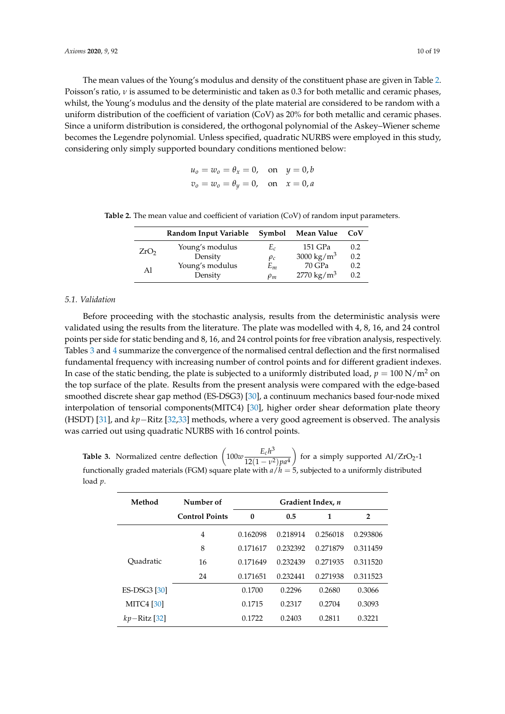The mean values of the Young's modulus and density of the constituent phase are given in Table 2. Poisson's ratio, *ν* is assumed to be deterministic and taken as 0.3 for both metallic and ceramic phases, whilst, the Young's modulus and the density of the plate material are considered to be random with a uniform distribution of the coefficient of variation (CoV) as 20% for both metallic and ceramic phases. Since a uniform distribution is considered, the orthogonal polynomial of the Askey–Wiener scheme becomes the Legendre polynomial. Unless specified, quadratic NURBS were employed in this study, considering only simply supported boundary conditions mentioned below:

$$
u_0 = w_0 = \theta_x = 0, \text{ on } y = 0, b
$$
  

$$
v_0 = w_0 = \theta_y = 0, \text{ on } x = 0, a
$$

|                  | Random Input Variable | Symbol         | Mean Value             | CoV |
|------------------|-----------------------|----------------|------------------------|-----|
| ZrO <sub>2</sub> | Young's modulus       | E <sub>c</sub> | 151 GPa                | 0.2 |
|                  | Density               | $\rho_c$       | 3000 kg/m <sup>3</sup> | 0.2 |
| Al               | Young's modulus       | $E_m$          | 70 GPa                 | 0.2 |
|                  | Density               | $\rho_m$       | $2770 \text{ kg/m}^3$  | 0.2 |

**Table 2.** The mean value and coefficient of variation (CoV) of random input parameters.

# *5.1. Validation*

Before proceeding with the stochastic analysis, results from the deterministic analysis were validated using the results from the literature. The plate was modelled with 4, 8, 16, and 24 control points per side for static bending and 8, 16, and 24 control points for free vibration analysis, respectively. Tables 3 and 4 summarize the convergence of the normalised central deflection and the first normalised fundamental frequency with increasing number of control points and for different gradient indexes. In case of the static bending, the plate is subjected to a uniformly distributed load,  $p = 100 \text{ N/m}^2$  on the top surface of the plate. Results from the present analysis were compared with the edge-based smoothed discrete shear gap method (ES-DSG3) [30], a continuum mechanics based four-node mixed interpolation of tensorial components(MITC4) [30], higher order shear deformation plate theory (HSDT) [31], and *kp*−Ritz [32,33] methods, where a very good agreement is observed. The analysis was carried out using quadratic NURBS with 16 control points.

**Table 3.** Normalized centre deflection  $\left(100w\frac{E_c h^3}{12(1-\epsilon)^2}\right)$  $12(1-\nu^2)pa^4$ for a simply supported  $\text{Al}/\text{ZrO}_2$ -1 functionally graded materials (FGM) square plate with *a*/*h* = 5, subjected to a uniformly distributed load *p*.

| Method              | Number of             | Gradient Index, n |          |          |                |  |
|---------------------|-----------------------|-------------------|----------|----------|----------------|--|
|                     | <b>Control Points</b> | $\boldsymbol{0}$  | 0.5      | 1        | $\overline{2}$ |  |
|                     | 4                     | 0.162098          | 0.218914 | 0.256018 | 0.293806       |  |
|                     | 8                     | 0.171617          | 0.232392 | 0.271879 | 0.311459       |  |
| Ouadratic           | 16                    | 0.171649          | 0.232439 | 0.271935 | 0.311520       |  |
|                     | 24                    | 0.171651          | 0.232441 | 0.271938 | 0.311523       |  |
| <b>ES-DSG3</b> [30] |                       | 0.1700            | 0.2296   | 0.2680   | 0.3066         |  |
| <b>MITC4</b> [30]   |                       | 0.1715            | 0.2317   | 0.2704   | 0.3093         |  |
| $kp - Ritz$ [32]    |                       | 0.1722            | 0.2403   | 0.2811   | 0.3221         |  |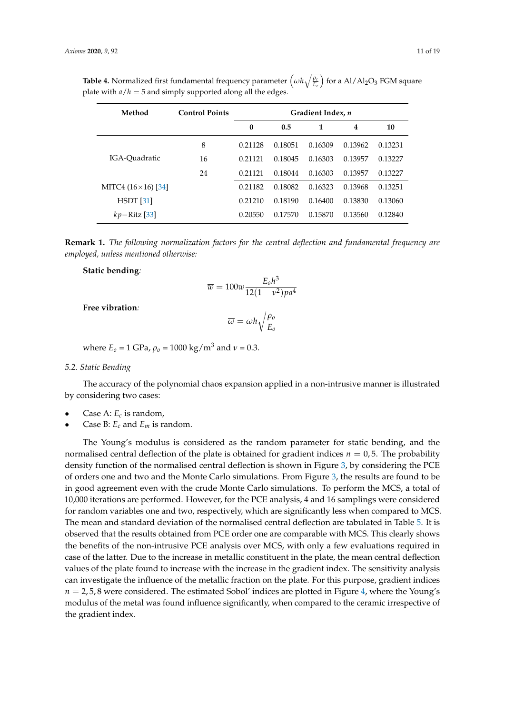| Method                    | <b>Control Points</b> | Gradient Index, n |         |         |         |         |
|---------------------------|-----------------------|-------------------|---------|---------|---------|---------|
|                           |                       | 0                 | 0.5     | 1       | 4       | 10      |
|                           | 8                     | 0.21128           | 0.18051 | 0.16309 | 0.13962 | 0.13231 |
| IGA-Quadratic             | 16                    | 0.21121           | 0.18045 | 0.16303 | 0.13957 | 0.13227 |
|                           | 24                    | 0.21121           | 0.18044 | 0.16303 | 0.13957 | 0.13227 |
| MITC4 $(16\times16)$ [34] |                       | 0.21182           | 0.18082 | 0.16323 | 0.13968 | 0.13251 |
| HSDT[31]                  |                       | 0.21210           | 0.18190 | 0.16400 | 0.13830 | 0.13060 |
| $kp-Ritz [33]$            |                       | 0.20550           | 0.17570 | 0.15870 | 0.13560 | 0.12840 |

**Table 4.** Normalized first fundamental frequency parameter  $\left(\omega h \sqrt{\frac{\rho_c}{E_c}}\right)$  for a Al/Al<sub>2</sub>O<sub>3</sub> FGM square plate with  $a/h = 5$  and simply supported along all the edges.

**Remark 1.** *The following normalization factors for the central deflection and fundamental frequency are employed, unless mentioned otherwise:*

#### **Static bending***:*

$$
\overline{w} = 100w \frac{E_0 h^3}{12(1 - v^2)pa^4}
$$

**Free vibration***:*

$$
\overline{\omega} = \omega h \sqrt{\frac{\rho_o}{E_o}}
$$

where  $E_0 = 1 \text{ GPa}$ ,  $\rho_0 = 1000 \text{ kg/m}^3$  and  $\nu = 0.3$ .

#### *5.2. Static Bending*

The accuracy of the polynomial chaos expansion applied in a non-intrusive manner is illustrated by considering two cases:

- Case A: *E<sup>c</sup>* is random,
- Case B: *E<sup>c</sup>* and *E<sup>m</sup>* is random.

The Young's modulus is considered as the random parameter for static bending, and the normalised central deflection of the plate is obtained for gradient indices  $n = 0.5$ . The probability density function of the normalised central deflection is shown in Figure 3, by considering the PCE of orders one and two and the Monte Carlo simulations. From Figure 3, the results are found to be in good agreement even with the crude Monte Carlo simulations. To perform the MCS, a total of 10,000 iterations are performed. However, for the PCE analysis, 4 and 16 samplings were considered for random variables one and two, respectively, which are significantly less when compared to MCS. The mean and standard deviation of the normalised central deflection are tabulated in Table 5. It is observed that the results obtained from PCE order one are comparable with MCS. This clearly shows the benefits of the non-intrusive PCE analysis over MCS, with only a few evaluations required in case of the latter. Due to the increase in metallic constituent in the plate, the mean central deflection values of the plate found to increase with the increase in the gradient index. The sensitivity analysis can investigate the influence of the metallic fraction on the plate. For this purpose, gradient indices  $n = 2.5.8$  were considered. The estimated Sobol' indices are plotted in Figure 4, where the Young's modulus of the metal was found influence significantly, when compared to the ceramic irrespective of the gradient index.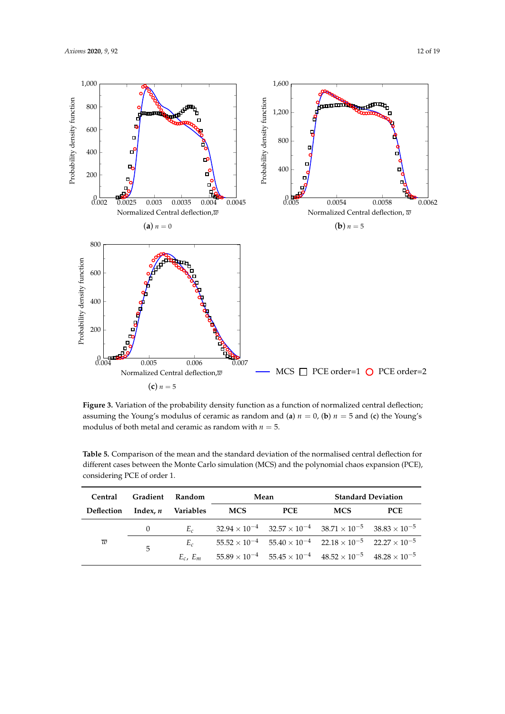

Figure 3. Variation of the probability density function as a function of normalized central deflection; assuming the Young's modulus of ceramic as random and (**a**)  $n = 0$ , (**b**)  $n = 5$  and (**c**) the Young's modulus of both metal and ceramic as random with  $n = 5$ .

| Central                              |          | Gradient Random | Mean       |                                                                                                           | <b>Standard Deviation</b> |            |  |
|--------------------------------------|----------|-----------------|------------|-----------------------------------------------------------------------------------------------------------|---------------------------|------------|--|
| Deflection Index, <i>n</i> Variables |          |                 | <b>MCS</b> | <b>PCE</b>                                                                                                | <b>MCS</b>                | <b>PCE</b> |  |
|                                      | $\theta$ | $E_c$           |            | $32.94 \times 10^{-4}$ $32.57 \times 10^{-4}$ $38.71 \times 10^{-5}$ $38.83 \times 10^{-5}$               |                           |            |  |
| w                                    | 5        | $E_c$           |            | $55.52 \times 10^{-4}$ $55.40 \times 10^{-4}$ $22.18 \times 10^{-5}$ $22.27 \times 10^{-5}$               |                           |            |  |
|                                      |          |                 |            | $E_c$ , $E_m$ $55.89 \times 10^{-4}$ $55.45 \times 10^{-4}$ $48.52 \times 10^{-5}$ $48.28 \times 10^{-5}$ |                           |            |  |

**Table 5.** Comparison of the mean and the standard deviation of the normalised central deflection for different cases between the Monte Carlo simulation (MCS) and the polynomial chaos expansion (PCE), considering PCE of order 1.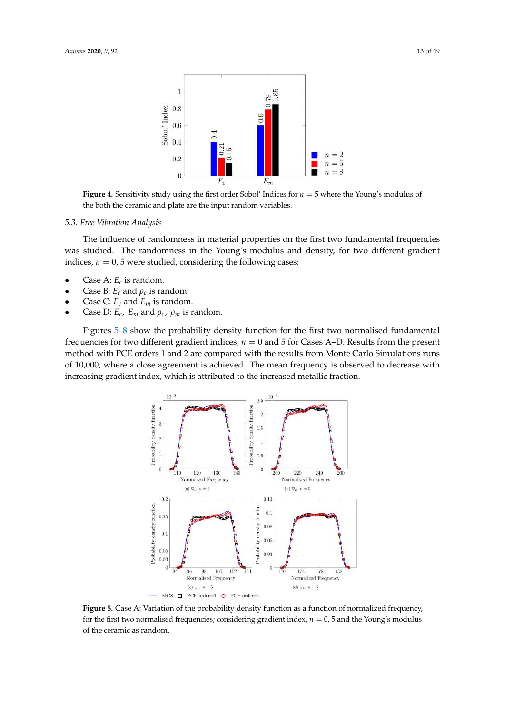

**Figure 4.** Sensitivity study using the first order Sobol' Indices for *n* = 5 where the Young's modulus of the both the ceramic and plate are the input random variables.

#### *5.3. Free Vibration Analysis*

The influence of randomness in material properties on the first two fundamental frequencies was studied. The randomness in the Young's modulus and density, for two different gradient indices,  $n = 0$ , 5 were studied, considering the following cases:

- Case A: *E<sup>c</sup>* is random.
- Case B:  $E_c$  and  $\rho_c$  is random.
- Case C: *E<sup>c</sup>* and *E<sup>m</sup>* is random.
- Case D:  $E_c$ ,  $E_m$  and  $\rho_c$ ,  $\rho_m$  is random.

Figures 5–8 show the probability density function for the first two normalised fundamental frequencies for two different gradient indices, *n* = 0 and 5 for Cases A–D. Results from the present method with PCE orders 1 and 2 are compared with the results from Monte Carlo Simulations runs of 10,000, where a close agreement is achieved. The mean frequency is observed to decrease with increasing gradient index, which is attributed to the increased metallic fraction.



**Figure 5.** Case A: Variation of the probability density function as a function of normalized frequency, for the first two normalised frequencies; considering gradient index,  $n = 0$ , 5 and the Young's modulus of the ceramic as random.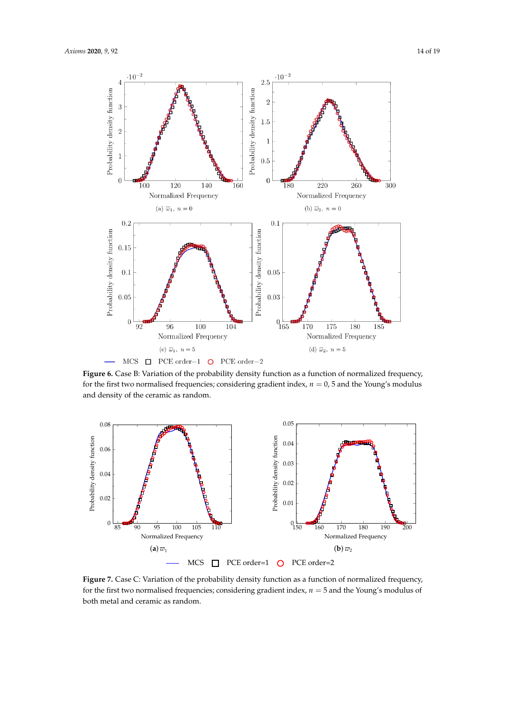

**Figure 6.** Case B: Variation of the probability density function as a function of normalized frequency, for the first two normalised frequencies; considering gradient index,  $n = 0$ , 5 and the Young's modulus and density of the ceramic as random.



Figure 7. Case C: Variation of the probability density function as a function of normalized frequency, for the first two normalised frequencies; considering gradient index,  $n = 5$  and the Young's modulus of both metal and ceramic as random.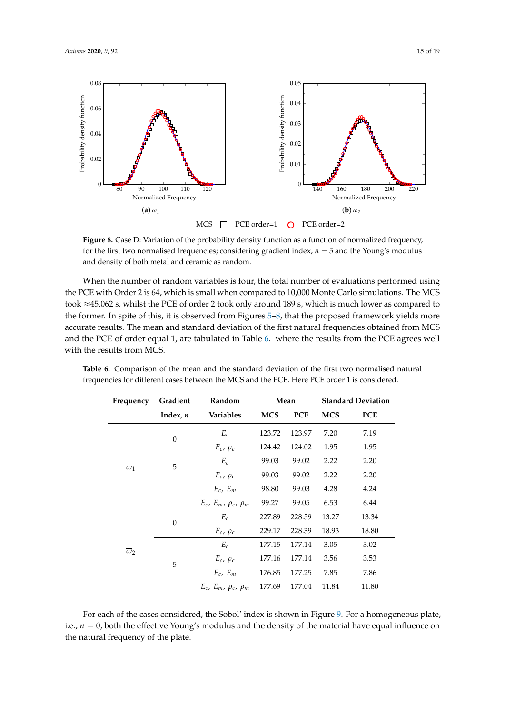

**Figure 8.** Case D: Variation of the probability density function as a function of normalized frequency, for the first two normalised frequencies; considering gradient index,  $n = 5$  and the Young's modulus and density of both metal and ceramic as random.

When the number of random variables is four, the total number of evaluations performed using the PCE with Order 2 is 64, which is small when compared to 10,000 Monte Carlo simulations. The MCS took ≈45,062 s, whilst the PCE of order 2 took only around 189 s, which is much lower as compared to the former. In spite of this, it is observed from Figures 5–8, that the proposed framework yields more accurate results. The mean and standard deviation of the first natural frequencies obtained from MCS and the PCE of order equal 1, are tabulated in Table 6. where the results from the PCE agrees well with the results from MCS.

| Frequency             | Gradient   | Random                              |            | Mean       |            | <b>Standard Deviation</b> |  |
|-----------------------|------------|-------------------------------------|------------|------------|------------|---------------------------|--|
|                       | Index, $n$ | <b>Variables</b>                    | <b>MCS</b> | <b>PCE</b> | <b>MCS</b> | <b>PCE</b>                |  |
|                       | $\theta$   | $E_c$                               | 123.72     | 123.97     | 7.20       | 7.19                      |  |
|                       |            | $E_c$ , $\rho_c$                    | 124.42     | 124.02     | 1.95       | 1.95                      |  |
| $\overline{\omega}_1$ | 5          | $E_c$                               | 99.03      | 99.02      | 2.22       | 2.20                      |  |
|                       |            | $E_c, \, \rho_c$                    | 99.03      | 99.02      | 2.22       | 2.20                      |  |
|                       |            | $E_c$ , $E_m$                       | 98.80      | 99.03      | 4.28       | 4.24                      |  |
|                       |            | $E_c$ , $E_m$ , $\rho_c$ , $\rho_m$ | 99.27      | 99.05      | 6.53       | 6.44                      |  |
| $\overline{\omega}$   | $\theta$   | $E_c$                               | 227.89     | 228.59     | 13.27      | 13.34                     |  |
|                       |            | $E_c$ , $\rho_c$                    | 229.17     | 228.39     | 18.93      | 18.80                     |  |
|                       | 5          | $E_c$                               | 177.15     | 177.14     | 3.05       | 3.02                      |  |
|                       |            | $E_c$ , $\rho_c$                    | 177.16     | 177.14     | 3.56       | 3.53                      |  |
|                       |            | $E_c$ , $E_m$                       | 176.85     | 177.25     | 7.85       | 7.86                      |  |
|                       |            | $E_c$ , $E_m$ , $\rho_c$ , $\rho_m$ | 177.69     | 177.04     | 11.84      | 11.80                     |  |

**Table 6.** Comparison of the mean and the standard deviation of the first two normalised natural frequencies for different cases between the MCS and the PCE. Here PCE order 1 is considered.

For each of the cases considered, the Sobol' index is shown in Figure 9. For a homogeneous plate, i.e.,  $n = 0$ , both the effective Young's modulus and the density of the material have equal influence on the natural frequency of the plate.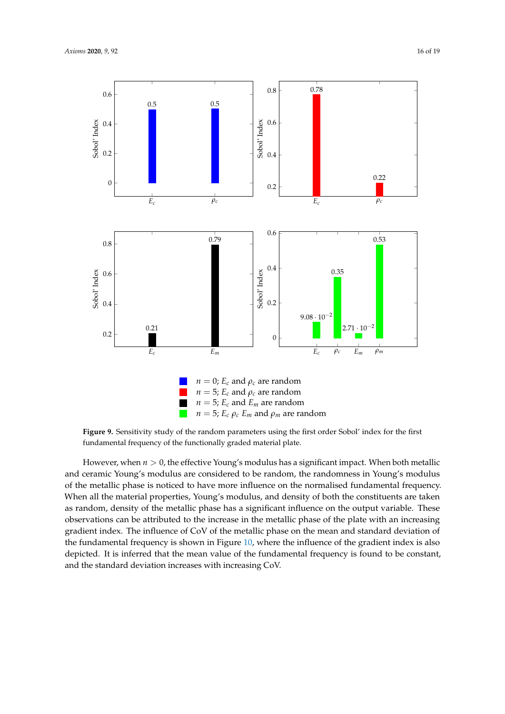

**Figure 9.** Sensitivity study of the random parameters using the first order Sobol' index for the first fundamental frequency of the functionally graded material plate.

However, when  $n > 0$ , the effective Young's modulus has a significant impact. When both metallic and ceramic Young's modulus are considered to be random, the randomness in Young's modulus of the metallic phase is noticed to have more influence on the normalised fundamental frequency. When all the material properties, Young's modulus, and density of both the constituents are taken as random, density of the metallic phase has a significant influence on the output variable. These observations can be attributed to the increase in the metallic phase of the plate with an increasing gradient index. The influence of CoV of the metallic phase on the mean and standard deviation of the fundamental frequency is shown in Figure 10, where the influence of the gradient index is also depicted. It is inferred that the mean value of the fundamental frequency is found to be constant, and the standard deviation increases with increasing CoV.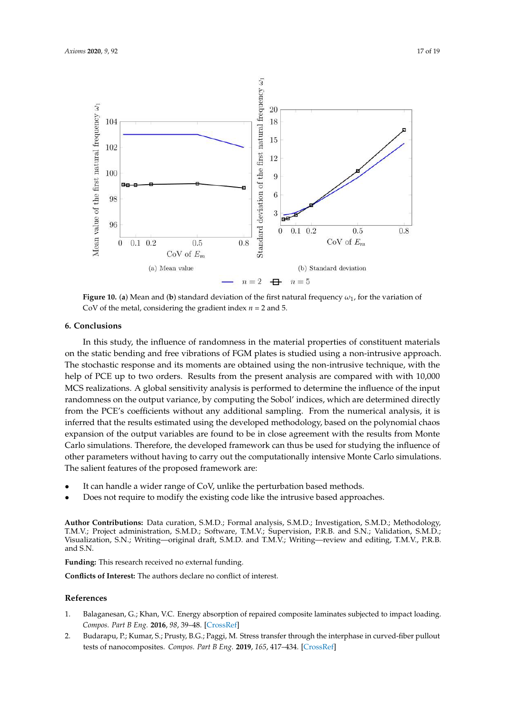

**Figure 10. (a)** Mean and (**b**) standard deviation of the first natural frequency  $\omega_1$ , for the variation of CoV of the metal, considering the gradient index *n* = 2 and 5.

#### **6. Conclusions**

In this study, the influence of randomness in the material properties of constituent materials on the static bending and free vibrations of FGM plates is studied using a non-intrusive approach. The stochastic response and its moments are obtained using the non-intrusive technique, with the help of PCE up to two orders. Results from the present analysis are compared with with 10,000 MCS realizations. A global sensitivity analysis is performed to determine the influence of the input randomness on the output variance, by computing the Sobol' indices, which are determined directly from the PCE's coefficients without any additional sampling. From the numerical analysis, it is inferred that the results estimated using the developed methodology, based on the polynomial chaos expansion of the output variables are found to be in close agreement with the results from Monte Carlo simulations. Therefore, the developed framework can thus be used for studying the influence of other parameters without having to carry out the computationally intensive Monte Carlo simulations. The salient features of the proposed framework are:

- It can handle a wider range of CoV, unlike the perturbation based methods.
- Does not require to modify the existing code like the intrusive based approaches.

**Author Contributions:** Data curation, S.M.D.; Formal analysis, S.M.D.; Investigation, S.M.D.; Methodology, T.M.V.; Project administration, S.M.D.; Software, T.M.V.; Supervision, P.R.B. and S.N.; Validation, S.M.D.; Visualization, S.N.; Writing—original draft, S.M.D. and T.M.V.; Writing—review and editing, T.M.V., P.R.B. and S.N.

**Funding:** This research received no external funding.

**Conflicts of Interest:** The authors declare no conflict of interest.

# **References**

- 1. Balaganesan, G.; Khan, V.C. Energy absorption of repaired composite laminates subjected to impact loading. *Compos. Part B Eng.* **2016**, *98*, 39–48. [CrossRef]
- 2. Budarapu, P.; Kumar, S.; Prusty, B.G.; Paggi, M. Stress transfer through the interphase in curved-fiber pullout tests of nanocomposites. *Compos. Part B Eng.* **2019**, *165*, 417–434. [CrossRef]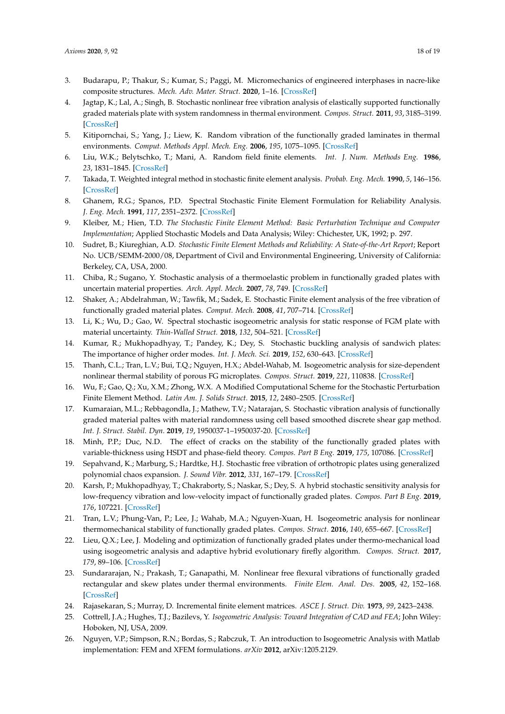- 3. Budarapu, P.; Thakur, S.; Kumar, S.; Paggi, M. Micromechanics of engineered interphases in nacre-like composite structures. *Mech. Adv. Mater. Struct.* **2020**, 1–16. [CrossRef]
- 4. Jagtap, K.; Lal, A.; Singh, B. Stochastic nonlinear free vibration analysis of elastically supported functionally graded materials plate with system randomness in thermal environment. *Compos. Struct.* **2011**, *93*, 3185–3199. [CrossRef]
- 5. Kitipornchai, S.; Yang, J.; Liew, K. Random vibration of the functionally graded laminates in thermal environments. *Comput. Methods Appl. Mech. Eng.* **2006**, *195*, 1075–1095. [CrossRef]
- 6. Liu, W.K.; Belytschko, T.; Mani, A. Random field finite elements. *Int. J. Num. Methods Eng.* **1986**, *23*, 1831–1845. [CrossRef]
- 7. Takada, T. Weighted integral method in stochastic finite element analysis. *Probab. Eng. Mech.* **1990**, *5*, 146–156. [CrossRef]
- 8. Ghanem, R.G.; Spanos, P.D. Spectral Stochastic Finite Element Formulation for Reliability Analysis. *J. Eng. Mech.* **1991**, *117*, 2351–2372. [CrossRef]
- 9. Kleiber, M.; Hien, T.D. *The Stochastic Finite Element Method: Basic Perturbation Technique and Computer Implementation*; Applied Stochastic Models and Data Analysis; Wiley: Chichester, UK, 1992; p. 297.
- 10. Sudret, B.; Kiureghian, A.D. *Stochastic Finite Element Methods and Reliability: A State-of-the-Art Report*; Report No. UCB/SEMM-2000/08, Department of Civil and Environmental Engineering, University of California: Berkeley, CA, USA, 2000.
- 11. Chiba, R.; Sugano, Y. Stochastic analysis of a thermoelastic problem in functionally graded plates with uncertain material properties. *Arch. Appl. Mech.* **2007**, *78*, 749. [CrossRef]
- 12. Shaker, A.; Abdelrahman, W.; Tawfik, M.; Sadek, E. Stochastic Finite element analysis of the free vibration of functionally graded material plates. *Comput. Mech.* **2008**, *41*, 707–714. [CrossRef]
- 13. Li, K.; Wu, D.; Gao, W. Spectral stochastic isogeometric analysis for static response of FGM plate with material uncertainty. *Thin-Walled Struct.* **2018**, *132*, 504–521. [CrossRef]
- 14. Kumar, R.; Mukhopadhyay, T.; Pandey, K.; Dey, S. Stochastic buckling analysis of sandwich plates: The importance of higher order modes. *Int. J. Mech. Sci.* **2019**, *152*, 630–643. [CrossRef]
- 15. Thanh, C.L.; Tran, L.V.; Bui, T.Q.; Nguyen, H.X.; Abdel-Wahab, M. Isogeometric analysis for size-dependent nonlinear thermal stability of porous FG microplates. *Compos. Struct.* **2019**, *221*, 110838. [CrossRef]
- 16. Wu, F.; Gao, Q.; Xu, X.M.; Zhong, W.X. A Modified Computational Scheme for the Stochastic Perturbation Finite Element Method. *Latin Am. J. Solids Struct.* **2015**, *12*, 2480–2505. [CrossRef]
- 17. Kumaraian, M.L.; Rebbagondla, J.; Mathew, T.V.; Natarajan, S. Stochastic vibration analysis of functionally graded material paltes with material randomness using cell based smoothed discrete shear gap method. *Int. J. Struct. Stabil. Dyn.* **2019**, *19*, 1950037-1–1950037-20. [CrossRef]
- 18. Minh, P.P.; Duc, N.D. The effect of cracks on the stability of the functionally graded plates with variable-thickness using HSDT and phase-field theory. *Compos. Part B Eng.* **2019**, *175*, 107086. [CrossRef]
- 19. Sepahvand, K.; Marburg, S.; Hardtke, H.J. Stochastic free vibration of orthotropic plates using generalized polynomial chaos expansion. *J. Sound Vibr.* **2012**, *331*, 167–179. [CrossRef]
- 20. Karsh, P.; Mukhopadhyay, T.; Chakraborty, S.; Naskar, S.; Dey, S. A hybrid stochastic sensitivity analysis for low-frequency vibration and low-velocity impact of functionally graded plates. *Compos. Part B Eng.* **2019**, *176*, 107221. [CrossRef]
- 21. Tran, L.V.; Phung-Van, P.; Lee, J.; Wahab, M.A.; Nguyen-Xuan, H. Isogeometric analysis for nonlinear thermomechanical stability of functionally graded plates. *Compos. Struct.* **2016**, *140*, 655–667. [CrossRef]
- 22. Lieu, Q.X.; Lee, J. Modeling and optimization of functionally graded plates under thermo-mechanical load using isogeometric analysis and adaptive hybrid evolutionary firefly algorithm. *Compos. Struct.* **2017**, *179*, 89–106. [CrossRef]
- 23. Sundararajan, N.; Prakash, T.; Ganapathi, M. Nonlinear free flexural vibrations of functionally graded rectangular and skew plates under thermal environments. *Finite Elem. Anal. Des.* **2005**, *42*, 152–168. [CrossRef]
- 24. Rajasekaran, S.; Murray, D. Incremental finite element matrices. *ASCE J. Struct. Div.* **1973**, *99*, 2423–2438.
- 25. Cottrell, J.A.; Hughes, T.J.; Bazilevs, Y. *Isogeometric Analysis: Toward Integration of CAD and FEA*; John Wiley: Hoboken, NJ, USA, 2009.
- 26. Nguyen, V.P.; Simpson, R.N.; Bordas, S.; Rabczuk, T. An introduction to Isogeometric Analysis with Matlab implementation: FEM and XFEM formulations. *arXiv* **2012**, arXiv:1205.2129.